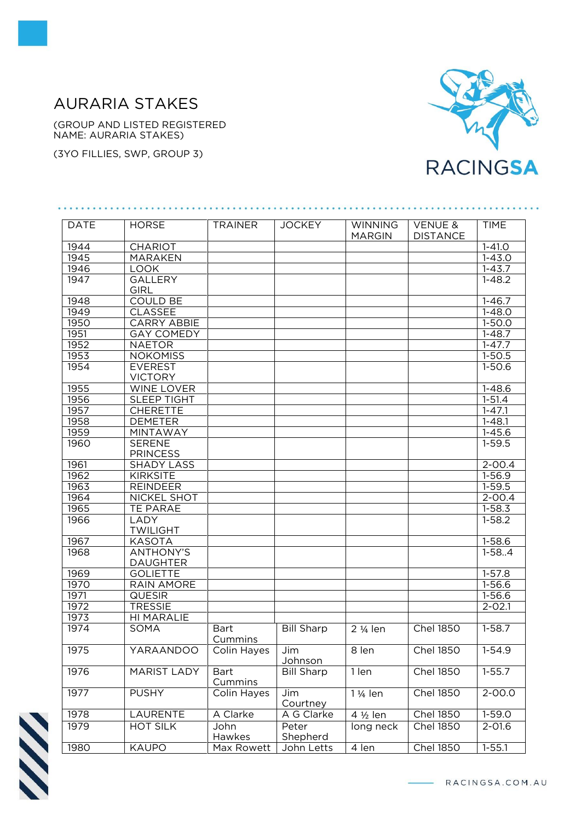## AURARIA STAKES

(GROUP AND LISTED REGISTERED NAME: AURARIA STAKES)

(3YO FILLIES, SWP, GROUP 3)



| <b>DATE</b> | <b>HORSE</b>                        | <b>TRAINER</b>         | <b>JOCKEY</b>     | <b>WINNING</b><br><b>MARGIN</b> | <b>VENUE &amp;</b><br><b>DISTANCE</b> | <b>TIME</b> |
|-------------|-------------------------------------|------------------------|-------------------|---------------------------------|---------------------------------------|-------------|
| 1944        | <b>CHARIOT</b>                      |                        |                   |                                 |                                       | $1 - 41.0$  |
| 1945        | <b>MARAKEN</b>                      |                        |                   |                                 |                                       | $1 - 43.0$  |
| 1946        | <b>LOOK</b>                         |                        |                   |                                 |                                       | $1 - 43.7$  |
| 1947        | <b>GALLERY</b><br><b>GIRL</b>       |                        |                   |                                 |                                       | $1 - 48.2$  |
| 1948        | <b>COULD BE</b>                     |                        |                   |                                 |                                       | $1 - 46.7$  |
| 1949        | <b>CLASSEE</b>                      |                        |                   |                                 |                                       | $1 - 48.0$  |
| 1950        | <b>CARRY ABBIE</b>                  |                        |                   |                                 |                                       | $1 - 50.0$  |
| 1951        | <b>GAY COMEDY</b>                   |                        |                   |                                 |                                       | $1 - 48.7$  |
| 1952        | <b>NAETOR</b>                       |                        |                   |                                 |                                       | $1 - 47.7$  |
| 1953        | <b>NOKOMISS</b>                     |                        |                   |                                 |                                       | $1-50.5$    |
| 1954        | <b>EVEREST</b><br><b>VICTORY</b>    |                        |                   |                                 |                                       | $1 - 50.6$  |
| 1955        | <b>WINE LOVER</b>                   |                        |                   |                                 |                                       | $1 - 48.6$  |
| 1956        | <b>SLEEP TIGHT</b>                  |                        |                   |                                 |                                       | $1 - 51.4$  |
| 1957        | <b>CHERETTE</b>                     |                        |                   |                                 |                                       | $1 - 47.1$  |
| 1958        | <b>DEMETER</b>                      |                        |                   |                                 |                                       | $1 - 48.1$  |
| 1959        | MINTAWAY                            |                        |                   |                                 |                                       | $1 - 45.6$  |
| 1960        | <b>SERENE</b><br><b>PRINCESS</b>    |                        |                   |                                 |                                       | $1 - 59.5$  |
| 1961        | <b>SHADY LASS</b>                   |                        |                   |                                 |                                       | $2 - 00.4$  |
| 1962        | <b>KIRKSITE</b>                     |                        |                   |                                 |                                       | $1 - 56.9$  |
| 1963        | <b>REINDEER</b>                     |                        |                   |                                 |                                       | $1 - 59.5$  |
| 1964        | <b>NICKEL SHOT</b>                  |                        |                   |                                 |                                       | $2 - 00.4$  |
| 1965        | <b>TE PARAE</b>                     |                        |                   |                                 |                                       | $1 - 58.3$  |
| 1966        | LADY<br><b>TWILIGHT</b>             |                        |                   |                                 |                                       | $1 - 58.2$  |
| 1967        | <b>KASOTA</b>                       |                        |                   |                                 |                                       | $1 - 58.6$  |
| 1968        | <b>ANTHONY'S</b><br><b>DAUGHTER</b> |                        |                   |                                 |                                       | $1-58.4$    |
| 1969        | <b>GOLIETTE</b>                     |                        |                   |                                 |                                       | $1-57.8$    |
| 1970        | <b>RAIN AMORE</b>                   |                        |                   |                                 |                                       | $1 - 56.6$  |
| 1971        | <b>QUESIR</b>                       |                        |                   |                                 |                                       | $1 - 56.6$  |
| 1972        | <b>TRESSIE</b>                      |                        |                   |                                 |                                       | $2 - 02.1$  |
| 1973        | HI MARALIE                          |                        |                   |                                 |                                       |             |
| 1974        | SOMA                                | <b>Bart</b><br>Cummins | <b>Bill Sharp</b> | $2\frac{1}{4}$ len              | <b>Chel 1850</b>                      | $1-58.7$    |
| 1975        | YARAANDOO                           | Colin Hayes            | Jim<br>Johnson    | 8 len                           | <b>Chel 1850</b>                      | $1 - 54.9$  |
| 1976        | <b>MARIST LADY</b>                  | Bart<br>Cummins        | <b>Bill Sharp</b> | 1 len                           | <b>Chel 1850</b>                      | $1 - 55.7$  |
| 1977        | <b>PUSHY</b>                        | Colin Hayes            | Jim<br>Courtney   | 1 1/ <sub>4</sub> len           | <b>Chel 1850</b>                      | $2 - 00.0$  |
| 1978        | LAURENTE                            | A Clarke               | A G Clarke        | 4 1/2 len                       | <b>Chel 1850</b>                      | $1-59.0$    |
| 1979        | <b>HOT SILK</b>                     | John<br>Hawkes         | Peter<br>Shepherd | long neck                       | <b>Chel 1850</b>                      | $2 - 01.6$  |
| 1980        | <b>KAUPO</b>                        | Max Rowett             | John Letts        | 4 len                           | <b>Chel 1850</b>                      | $1 - 55.1$  |
|             |                                     |                        |                   |                                 |                                       |             |

N

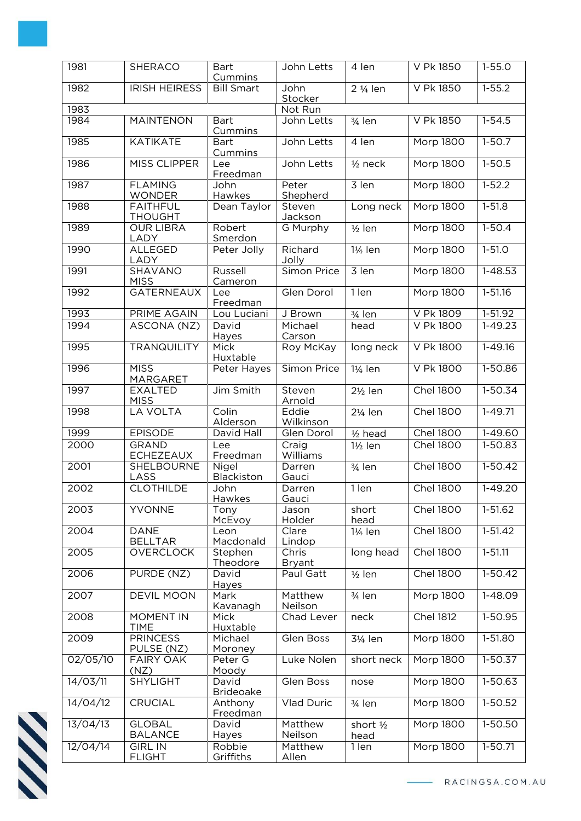| 1981     | <b>SHERACO</b>                    | <b>Bart</b><br>Cummins    | John Letts             | 4 len                 | V Pk 1850        | $1 - 55.0$  |
|----------|-----------------------------------|---------------------------|------------------------|-----------------------|------------------|-------------|
| 1982     | <b>IRISH HEIRESS</b>              | <b>Bill Smart</b>         | John<br>Stocker        | 2 1/ <sub>4</sub> len | V Pk 1850        | $1 - 55.2$  |
| 1983     |                                   |                           | Not Run                |                       |                  |             |
| 1984     | <b>MAINTENON</b>                  | <b>Bart</b><br>Cummins    | John Letts             | $\frac{3}{4}$ len     | V Pk 1850        | $1 - 54.5$  |
| 1985     | <b>KATIKATE</b>                   | <b>Bart</b><br>Cummins    | John Letts             | 4 len                 | Morp 1800        | $1-50.7$    |
| 1986     | MISS CLIPPER                      | Lee<br>Freedman           | John Letts             | $1/2$ neck            | <b>Morp 1800</b> | $1-50.5$    |
| 1987     | <b>FLAMING</b><br><b>WONDER</b>   | John<br>Hawkes            | Peter<br>Shepherd      | 3 len                 | <b>Morp 1800</b> | $1 - 52.2$  |
| 1988     | <b>FAITHFUL</b><br><b>THOUGHT</b> | Dean Taylor               | Steven<br>Jackson      | Long neck             | Morp 1800        | $1 - 51.8$  |
| 1989     | <b>OUR LIBRA</b><br>LADY          | Robert<br>Smerdon         | G Murphy               | $1/2$ len             | Morp 1800        | $1-50.4$    |
| 1990     | <b>ALLEGED</b><br>LADY            | Peter Jolly               | Richard<br>Jolly       | 11/ <sub>4</sub> len  | <b>Morp 1800</b> | $1 - 51.0$  |
| 1991     | <b>SHAVANO</b><br><b>MISS</b>     | Russell<br>Cameron        | Simon Price            | 3 len                 | <b>Morp 1800</b> | $1 - 48.53$ |
| 1992     | <b>GATERNEAUX</b>                 | Lee<br>Freedman           | Glen Dorol             | 1 len                 | Morp 1800        | $1 - 51.16$ |
| 1993     | PRIME AGAIN                       | Lou Luciani               | J Brown                | 3/ <sub>4</sub> len   | V Pk 1809        | 1-51.92     |
| 1994     | ASCONA (NZ)                       | David<br>Hayes            | Michael<br>Carson      | head                  | <b>V Pk 1800</b> | $1 - 49.23$ |
| 1995     | <b>TRANQUILITY</b>                | <b>Mick</b><br>Huxtable   | Roy McKay              | long neck             | <b>V Pk 1800</b> | $1 - 49.16$ |
| 1996     | <b>MISS</b><br>MARGARET           | Peter Hayes               | Simon Price            | 11/ <sub>4</sub> len  | <b>V Pk 1800</b> | 1-50.86     |
| 1997     | <b>EXALTED</b><br><b>MISS</b>     | Jim Smith                 | Steven<br>Arnold       | $2\frac{1}{2}$ len    | <b>Chel 1800</b> | $1-50.34$   |
| 1998     | <b>LA VOLTA</b>                   | Colin<br>Alderson         | Eddie<br>Wilkinson     | 21/ <sub>4</sub> len  | <b>Chel 1800</b> | $1 - 49.71$ |
| 1999     | <b>EPISODE</b>                    | David Hall                | Glen Dorol             | $1/2$ head            | <b>Chel 1800</b> | 1-49.60     |
| 2000     | <b>GRAND</b><br><b>ECHEZEAUX</b>  | Lee<br>Freedman           | Craig<br>Williams      | 1½ len                | <b>Chel 1800</b> | 1-50.83     |
| 2001     | SHELBOURNE<br>LASS                | Nigel<br>Blackiston       | Darren<br>Gauci        | 3/ <sub>4</sub> len   | <b>Chel 1800</b> | $1-50.42$   |
| 2002     | <b>CLOTHILDE</b>                  | John<br>Hawkes            | Darren<br>Gauci        | 1 len                 | <b>Chel 1800</b> | $1 - 49.20$ |
| 2003     | YVONNE                            | Tony<br>McEvoy            | Jason<br>Holder        | short<br>head         | <b>Chel 1800</b> | 1-51.62     |
| 2004     | <b>DANE</b><br><b>BELLTAR</b>     | Leon<br>Macdonald         | Clare<br>Lindop        | 11/ <sub>4</sub> len  | <b>Chel 1800</b> | $1-51.42$   |
| 2005     | <b>OVERCLOCK</b>                  | Stephen<br>Theodore       | Chris<br><b>Bryant</b> | long head             | <b>Chel 1800</b> | $1 - 51.11$ |
| 2006     | PURDE (NZ)                        | David<br>Hayes            | Paul Gatt              | $1/2$ len             | <b>Chel 1800</b> | $1-50.42$   |
| 2007     | <b>DEVIL MOON</b>                 | Mark<br>Kavanagh          | Matthew<br>Neilson     | 3/ <sub>4</sub> len   | <b>Morp 1800</b> | 1-48.09     |
| 2008     | <b>MOMENT IN</b><br><b>TIME</b>   | Mick<br>Huxtable          | Chad Lever             | neck                  | <b>Chel 1812</b> | 1-50.95     |
| 2009     | <b>PRINCESS</b><br>PULSE (NZ)     | Michael<br>Moroney        | Glen Boss              | 31/ <sub>4</sub> len  | Morp 1800        | 1-51.80     |
| 02/05/10 | <b>FAIRY OAK</b><br>(NZ)          | Peter G<br>Moody          | Luke Nolen             | short neck            | Morp 1800        | 1-50.37     |
| 14/03/11 | <b>SHYLIGHT</b>                   | David<br><b>Brideoake</b> | Glen Boss              | nose                  | Morp 1800        | 1-50.63     |
| 14/04/12 | CRUCIAL                           | Anthony<br>Freedman       | Vlad Duric             | $\frac{3}{4}$ len     | <b>Morp 1800</b> | 1-50.52     |
| 13/04/13 | <b>GLOBAL</b><br><b>BALANCE</b>   | David<br>Hayes            | Matthew<br>Neilson     | short 1/2<br>head     | Morp 1800        | 1-50.50     |
| 12/04/14 | <b>GIRL IN</b><br><b>FLIGHT</b>   | Robbie<br>Griffiths       | Matthew<br>Allen       | 1 len                 | Morp 1800        | $1 - 50.71$ |